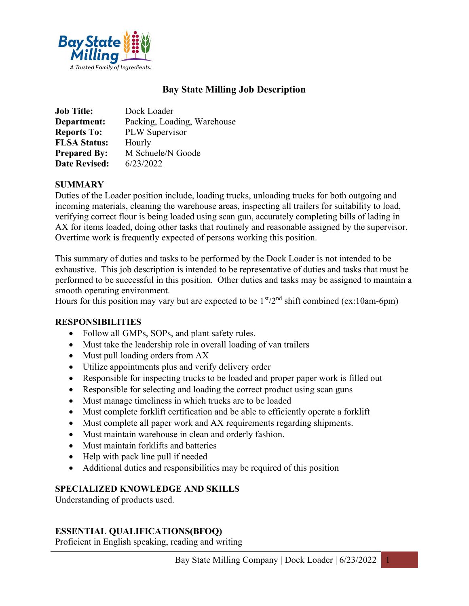

# Bay State Milling Job Description

| <b>Job Title:</b>    | Dock Loader                 |
|----------------------|-----------------------------|
| Department:          | Packing, Loading, Warehouse |
| <b>Reports To:</b>   | PLW Supervisor              |
| <b>FLSA Status:</b>  | Hourly                      |
| <b>Prepared By:</b>  | M Schuele/N Goode           |
| <b>Date Revised:</b> | 6/23/2022                   |

### **SUMMARY**

Duties of the Loader position include, loading trucks, unloading trucks for both outgoing and incoming materials, cleaning the warehouse areas, inspecting all trailers for suitability to load, verifying correct flour is being loaded using scan gun, accurately completing bills of lading in AX for items loaded, doing other tasks that routinely and reasonable assigned by the supervisor. Overtime work is frequently expected of persons working this position.

This summary of duties and tasks to be performed by the Dock Loader is not intended to be exhaustive. This job description is intended to be representative of duties and tasks that must be performed to be successful in this position. Other duties and tasks may be assigned to maintain a smooth operating environment.

Hours for this position may vary but are expected to be  $1<sup>st</sup>/2<sup>nd</sup>$  shift combined (ex:10am-6pm)

### RESPONSIBILITIES

- Follow all GMPs, SOPs, and plant safety rules.
- Must take the leadership role in overall loading of van trailers
- Must pull loading orders from AX
- Utilize appointments plus and verify delivery order
- Responsible for inspecting trucks to be loaded and proper paper work is filled out
- Responsible for selecting and loading the correct product using scan guns
- Must manage timeliness in which trucks are to be loaded
- Must complete forklift certification and be able to efficiently operate a forklift
- Must complete all paper work and AX requirements regarding shipments.
- Must maintain warehouse in clean and orderly fashion.
- Must maintain forklifts and batteries
- Help with pack line pull if needed
- Additional duties and responsibilities may be required of this position

## SPECIALIZED KNOWLEDGE AND SKILLS

Understanding of products used.

## ESSENTIAL QUALIFICATIONS(BFOQ)

Proficient in English speaking, reading and writing